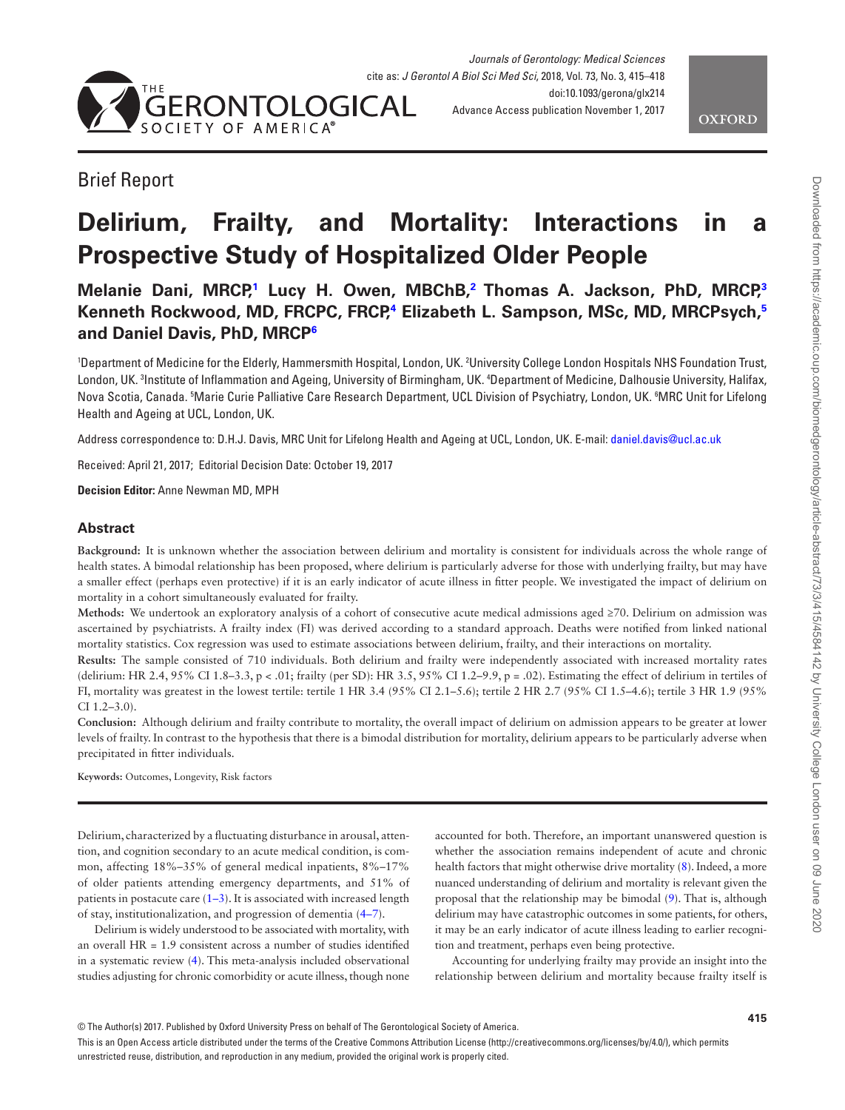



# Brief Report

# **Delirium, Frailty, and Mortality: Interactions in a Prospective Study of Hospitalized Older People**

# **Melanie Dani, MRCP[,1](#page-0-0) Lucy H. Owen, MBChB,[2](#page-0-1) Thomas A. Jackson, PhD, MRCP,[3](#page-0-2) Kenneth Rockwood, MD, FRCPC, FRCP[,4](#page-0-3) Elizabeth L. Sampson, MSc, MD, MRCPsych,[5](#page-0-4) and Daniel Davis, PhD, MRC[P6](#page-0-5)**

<span id="page-0-5"></span><span id="page-0-4"></span><span id="page-0-3"></span><span id="page-0-2"></span><span id="page-0-1"></span><span id="page-0-0"></span>'Department of Medicine for the Elderly, Hammersmith Hospital, London, UK. <sup>2</sup>University College London Hospitals NHS Foundation Trust, London, UK. 3 Institute of Inflammation and Ageing, University of Birmingham, UK. 4 Department of Medicine, Dalhousie University, Halifax, Nova Scotia, Canada. 5 Marie Curie Palliative Care Research Department, UCL Division of Psychiatry, London, UK. 6 MRC Unit for Lifelong Health and Ageing at UCL, London, UK.

Address correspondence to: D.H.J. Davis, MRC Unit for Lifelong Health and Ageing at UCL, London, UK. E-mail: [daniel.davis@ucl.ac.uk](mailto:daniel.davis@ucl.ac.uk?subject=)

Received: April 21, 2017; Editorial Decision Date: October 19, 2017

**Decision Editor:** Anne Newman MD, MPH

#### **Abstract**

**Background:** It is unknown whether the association between delirium and mortality is consistent for individuals across the whole range of health states. A bimodal relationship has been proposed, where delirium is particularly adverse for those with underlying frailty, but may have a smaller effect (perhaps even protective) if it is an early indicator of acute illness in fitter people. We investigated the impact of delirium on mortality in a cohort simultaneously evaluated for frailty.

**Methods:** We undertook an exploratory analysis of a cohort of consecutive acute medical admissions aged ≥70. Delirium on admission was ascertained by psychiatrists. A frailty index (FI) was derived according to a standard approach. Deaths were notified from linked national mortality statistics. Cox regression was used to estimate associations between delirium, frailty, and their interactions on mortality.

**Results:** The sample consisted of 710 individuals. Both delirium and frailty were independently associated with increased mortality rates (delirium: HR 2.4, 95% CI 1.8–3.3, p < .01; frailty (per SD): HR 3.5, 95% CI 1.2–9.9, p = .02). Estimating the effect of delirium in tertiles of FI, mortality was greatest in the lowest tertile: tertile 1 HR 3.4 (95% CI 2.1–5.6); tertile 2 HR 2.7 (95% CI 1.5–4.6); tertile 3 HR 1.9 (95% CI 1.2–3.0).

**Conclusion:** Although delirium and frailty contribute to mortality, the overall impact of delirium on admission appears to be greater at lower levels of frailty. In contrast to the hypothesis that there is a bimodal distribution for mortality, delirium appears to be particularly adverse when precipitated in fitter individuals.

**Keywords:** Outcomes, Longevity, Risk factors

Delirium, characterized by a fluctuating disturbance in arousal, attention, and cognition secondary to an acute medical condition, is common, affecting 18%–35% of general medical inpatients, 8%–17% of older patients attending emergency departments, and 51% of patients in postacute care  $(1-3)$ . It is associated with increased length of stay, institutionalization, and progression of dementia ([4–7\)](#page-3-1).

Delirium is widely understood to be associated with mortality, with an overall HR = 1.9 consistent across a number of studies identified in a systematic review [\(4](#page-3-1)). This meta-analysis included observational studies adjusting for chronic comorbidity or acute illness, though none accounted for both. Therefore, an important unanswered question is whether the association remains independent of acute and chronic health factors that might otherwise drive mortality [\(8\)](#page-3-2). Indeed, a more nuanced understanding of delirium and mortality is relevant given the proposal that the relationship may be bimodal [\(9](#page-3-3)). That is, although delirium may have catastrophic outcomes in some patients, for others, it may be an early indicator of acute illness leading to earlier recognition and treatment, perhaps even being protective.

Accounting for underlying frailty may provide an insight into the relationship between delirium and mortality because frailty itself is

This is an Open Access article distributed under the terms of the Creative Commons Attribution License (http://creativecommons.org/licenses/by/4.0/), which permits unrestricted reuse, distribution, and reproduction in any medium, provided the original work is properly cited.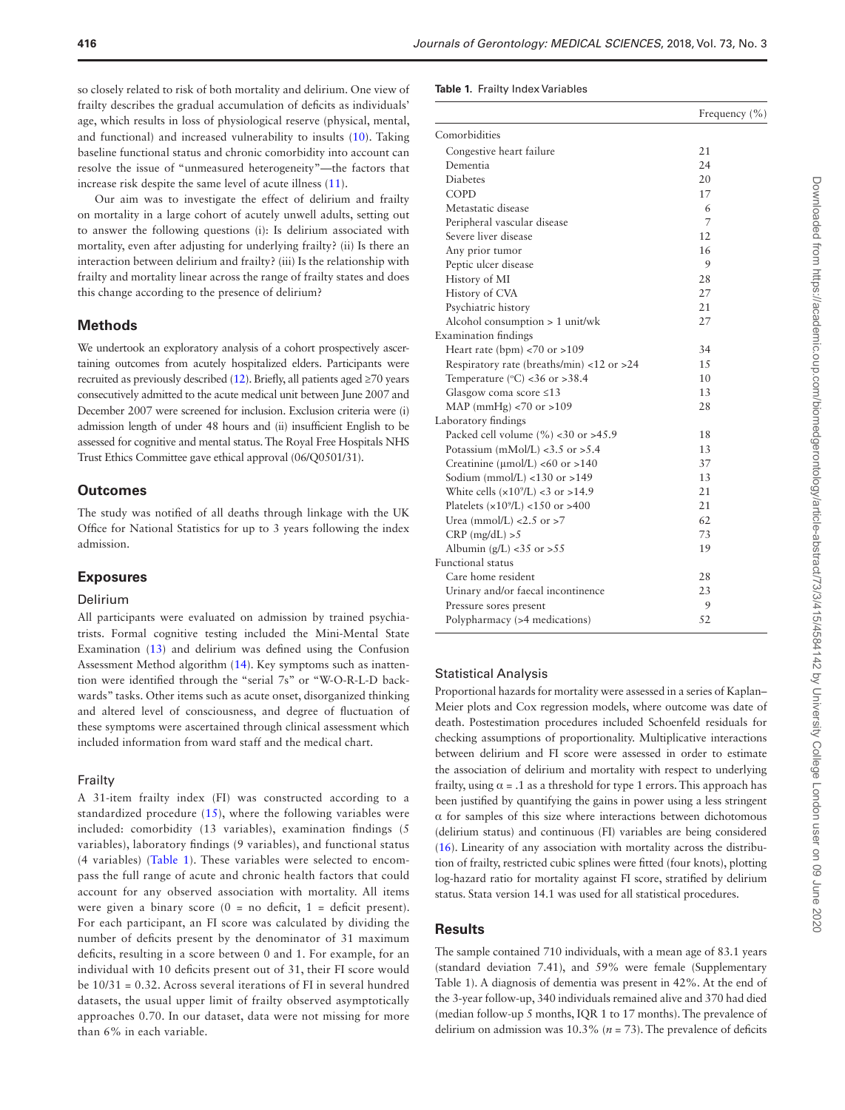so closely related to risk of both mortality and delirium. One view of frailty describes the gradual accumulation of deficits as individuals' age, which results in loss of physiological reserve (physical, mental, and functional) and increased vulnerability to insults [\(10](#page-3-4)). Taking baseline functional status and chronic comorbidity into account can resolve the issue of "unmeasured heterogeneity"—the factors that increase risk despite the same level of acute illness ([11](#page-3-5)).

Our aim was to investigate the effect of delirium and frailty on mortality in a large cohort of acutely unwell adults, setting out to answer the following questions (i): Is delirium associated with mortality, even after adjusting for underlying frailty? (ii) Is there an interaction between delirium and frailty? (iii) Is the relationship with frailty and mortality linear across the range of frailty states and does this change according to the presence of delirium?

#### **Methods**

We undertook an exploratory analysis of a cohort prospectively ascertaining outcomes from acutely hospitalized elders. Participants were recruited as previously described [\(12\)](#page-3-6). Briefly, all patients aged  $\geq 70$  years consecutively admitted to the acute medical unit between June 2007 and December 2007 were screened for inclusion. Exclusion criteria were (i) admission length of under 48 hours and (ii) insufficient English to be assessed for cognitive and mental status. The Royal Free Hospitals NHS Trust Ethics Committee gave ethical approval (06/Q0501/31).

#### **Outcomes**

The study was notified of all deaths through linkage with the UK Office for National Statistics for up to 3 years following the index admission.

#### **Exposures**

#### Delirium

All participants were evaluated on admission by trained psychiatrists. Formal cognitive testing included the Mini-Mental State Examination ([13](#page-3-7)) and delirium was defined using the Confusion Assessment Method algorithm [\(14\)](#page-3-8). Key symptoms such as inattention were identified through the "serial 7s" or "W-O-R-L-D backwards" tasks. Other items such as acute onset, disorganized thinking and altered level of consciousness, and degree of fluctuation of these symptoms were ascertained through clinical assessment which included information from ward staff and the medical chart.

#### Frailty

A 31-item frailty index (FI) was constructed according to a standardized procedure ([15\)](#page-3-9), where the following variables were included: comorbidity (13 variables), examination findings (5 variables), laboratory findings (9 variables), and functional status (4 variables) ([Table 1\)](#page-1-0). These variables were selected to encompass the full range of acute and chronic health factors that could account for any observed association with mortality. All items were given a binary score  $(0 = no$  deficit,  $1 =$  deficit present). For each participant, an FI score was calculated by dividing the number of deficits present by the denominator of 31 maximum deficits, resulting in a score between 0 and 1. For example, for an individual with 10 deficits present out of 31, their FI score would be 10/31 = 0.32. Across several iterations of FI in several hundred datasets, the usual upper limit of frailty observed asymptotically approaches 0.70. In our dataset, data were not missing for more than 6% in each variable.

#### <span id="page-1-0"></span>**Table 1.** Frailty Index Variables

|                                                       | Frequency $(\% )$ |  |  |
|-------------------------------------------------------|-------------------|--|--|
| Comorbidities                                         |                   |  |  |
| Congestive heart failure                              | 21                |  |  |
| Dementia                                              | 24                |  |  |
| <b>Diabetes</b>                                       | 20                |  |  |
| COPD                                                  | 17                |  |  |
| Metastatic disease                                    | 6                 |  |  |
| Peripheral vascular disease                           | $\overline{7}$    |  |  |
| Severe liver disease                                  | 12                |  |  |
| Any prior tumor                                       | 16                |  |  |
| Peptic ulcer disease                                  | 9                 |  |  |
| History of MI                                         | 28                |  |  |
| History of CVA                                        | 27                |  |  |
| Psychiatric history                                   | 21                |  |  |
| Alcohol consumption > 1 unit/wk                       | 27                |  |  |
| <b>Examination</b> findings                           |                   |  |  |
| Heart rate (bpm) $<$ 70 or $>$ 109                    | 34                |  |  |
| Respiratory rate (breaths/min) <12 or >24             | 15                |  |  |
| Temperature ( $\degree$ C) <36 or >38.4               | 10                |  |  |
| Glasgow coma score $\leq 13$                          | 13                |  |  |
| MAP ( $mmHg$ ) <70 or >109                            | 28                |  |  |
| Laboratory findings                                   |                   |  |  |
| Packed cell volume $(\%$ <30 or >45.9                 | 18                |  |  |
| Potassium (mMol/L) <3.5 or >5.4                       | 13                |  |  |
| Creatinine ( $\mu$ mol/L) <60 or >140                 | 37                |  |  |
| Sodium (mmol/L) <130 or >149                          | 13                |  |  |
| White cells $(x109/L) < 3$ or >14.9                   | 21                |  |  |
| Platelets ( $\times$ 10 <sup>9</sup> /L) <150 or >400 | 21                |  |  |
| Urea (mmol/L) <2.5 or >7                              | 62                |  |  |
| $CRP$ (mg/dL) $>5$                                    | 73                |  |  |
| Albumin (g/L) <35 or >55                              | 19                |  |  |
| <b>Functional status</b>                              |                   |  |  |
| Care home resident                                    | 28                |  |  |
| Urinary and/or faecal incontinence                    | 23                |  |  |
| Pressure sores present                                | 9                 |  |  |
| Polypharmacy (>4 medications)                         | 52                |  |  |

#### Statistical Analysis

Proportional hazards for mortality were assessed in a series of Kaplan– Meier plots and Cox regression models, where outcome was date of death. Postestimation procedures included Schoenfeld residuals for checking assumptions of proportionality. Multiplicative interactions between delirium and FI score were assessed in order to estimate the association of delirium and mortality with respect to underlying frailty, using  $\alpha = .1$  as a threshold for type 1 errors. This approach has been justified by quantifying the gains in power using a less stringent α for samples of this size where interactions between dichotomous (delirium status) and continuous (FI) variables are being considered [\(16\)](#page-3-10). Linearity of any association with mortality across the distribution of frailty, restricted cubic splines were fitted (four knots), plotting log-hazard ratio for mortality against FI score, stratified by delirium status. Stata version 14.1 was used for all statistical procedures.

## **Results**

The sample contained 710 individuals, with a mean age of 83.1 years (standard deviation 7.41), and 59% were female (Supplementary Table 1). A diagnosis of dementia was present in 42%. At the end of the 3-year follow-up, 340 individuals remained alive and 370 had died (median follow-up 5 months, IQR 1 to 17 months). The prevalence of delirium on admission was 10.3% ( $n = 73$ ). The prevalence of deficits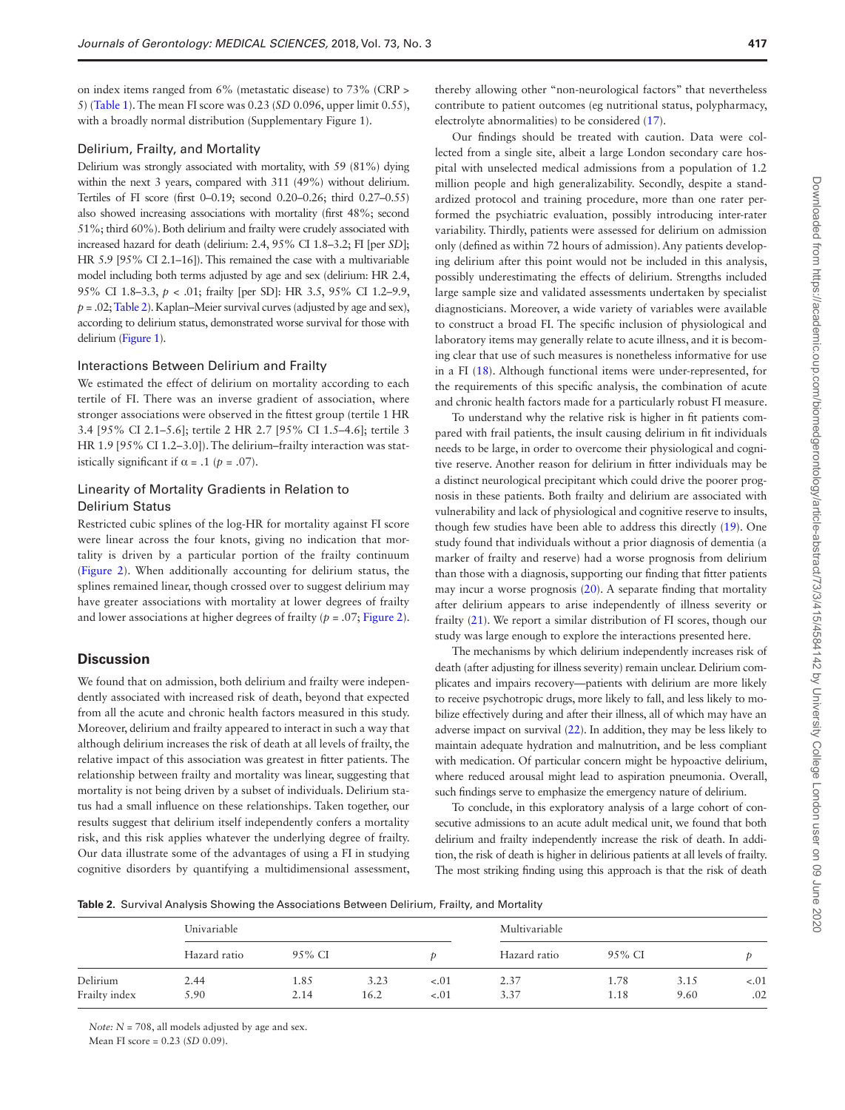on index items ranged from 6% (metastatic disease) to 73% (CRP > 5) [\(Table 1\)](#page-1-0). The mean FI score was 0.23 (*SD* 0.096, upper limit 0.55), with a broadly normal distribution (Supplementary Figure 1).

#### Delirium, Frailty, and Mortality

Delirium was strongly associated with mortality, with 59 (81%) dying within the next 3 years, compared with 311 (49%) without delirium. Tertiles of FI score (first 0–0.19; second 0.20–0.26; third 0.27–0.55) also showed increasing associations with mortality (first 48%; second 51%; third 60%). Both delirium and frailty were crudely associated with increased hazard for death (delirium: 2.4, 95% CI 1.8–3.2; FI [per *SD*]; HR 5.9 [95% CI 2.1–16]). This remained the case with a multivariable model including both terms adjusted by age and sex (delirium: HR 2.4, 95% CI 1.8–3.3, *p* < .01; frailty [per SD]: HR 3.5, 95% CI 1.2–9.9,  $p = .02$ ; [Table 2\)](#page-2-0). Kaplan–Meier survival curves (adjusted by age and sex), according to delirium status, demonstrated worse survival for those with delirium [\(Figure 1\)](#page-3-11).

#### Interactions Between Delirium and Frailty

We estimated the effect of delirium on mortality according to each tertile of FI. There was an inverse gradient of association, where stronger associations were observed in the fittest group (tertile 1 HR 3.4 [95% CI 2.1–5.6]; tertile 2 HR 2.7 [95% CI 1.5–4.6]; tertile 3 HR 1.9 [95% CI 1.2–3.0]). The delirium–frailty interaction was statistically significant if  $\alpha$  = .1 ( $p$  = .07).

## Linearity of Mortality Gradients in Relation to Delirium Status

Restricted cubic splines of the log-HR for mortality against FI score were linear across the four knots, giving no indication that mortality is driven by a particular portion of the frailty continuum [\(Figure 2](#page-3-12)). When additionally accounting for delirium status, the splines remained linear, though crossed over to suggest delirium may have greater associations with mortality at lower degrees of frailty and lower associations at higher degrees of frailty (*p* = .07; [Figure 2](#page-3-12)).

#### **Discussion**

We found that on admission, both delirium and frailty were independently associated with increased risk of death, beyond that expected from all the acute and chronic health factors measured in this study. Moreover, delirium and frailty appeared to interact in such a way that although delirium increases the risk of death at all levels of frailty, the relative impact of this association was greatest in fitter patients. The relationship between frailty and mortality was linear, suggesting that mortality is not being driven by a subset of individuals. Delirium status had a small influence on these relationships. Taken together, our results suggest that delirium itself independently confers a mortality risk, and this risk applies whatever the underlying degree of frailty. Our data illustrate some of the advantages of using a FI in studying cognitive disorders by quantifying a multidimensional assessment,

thereby allowing other "non-neurological factors" that nevertheless contribute to patient outcomes (eg nutritional status, polypharmacy, electrolyte abnormalities) to be considered ([17\)](#page-3-13).

Our findings should be treated with caution. Data were collected from a single site, albeit a large London secondary care hospital with unselected medical admissions from a population of 1.2 million people and high generalizability. Secondly, despite a standardized protocol and training procedure, more than one rater performed the psychiatric evaluation, possibly introducing inter-rater variability. Thirdly, patients were assessed for delirium on admission only (defined as within 72 hours of admission). Any patients developing delirium after this point would not be included in this analysis, possibly underestimating the effects of delirium. Strengths included large sample size and validated assessments undertaken by specialist diagnosticians. Moreover, a wide variety of variables were available to construct a broad FI. The specific inclusion of physiological and laboratory items may generally relate to acute illness, and it is becoming clear that use of such measures is nonetheless informative for use in a FI ([18](#page-3-14)). Although functional items were under-represented, for the requirements of this specific analysis, the combination of acute and chronic health factors made for a particularly robust FI measure.

To understand why the relative risk is higher in fit patients compared with frail patients, the insult causing delirium in fit individuals needs to be large, in order to overcome their physiological and cognitive reserve. Another reason for delirium in fitter individuals may be a distinct neurological precipitant which could drive the poorer prognosis in these patients. Both frailty and delirium are associated with vulnerability and lack of physiological and cognitive reserve to insults, though few studies have been able to address this directly [\(19\)](#page-3-15). One study found that individuals without a prior diagnosis of dementia (a marker of frailty and reserve) had a worse prognosis from delirium than those with a diagnosis, supporting our finding that fitter patients may incur a worse prognosis ([20\)](#page-3-16). A separate finding that mortality after delirium appears to arise independently of illness severity or frailty [\(21\)](#page-3-17). We report a similar distribution of FI scores, though our study was large enough to explore the interactions presented here.

The mechanisms by which delirium independently increases risk of death (after adjusting for illness severity) remain unclear. Delirium complicates and impairs recovery—patients with delirium are more likely to receive psychotropic drugs, more likely to fall, and less likely to mobilize effectively during and after their illness, all of which may have an adverse impact on survival [\(22](#page-3-18)). In addition, they may be less likely to maintain adequate hydration and malnutrition, and be less compliant with medication. Of particular concern might be hypoactive delirium, where reduced arousal might lead to aspiration pneumonia. Overall, such findings serve to emphasize the emergency nature of delirium.

To conclude, in this exploratory analysis of a large cohort of consecutive admissions to an acute adult medical unit, we found that both delirium and frailty independently increase the risk of death. In addition, the risk of death is higher in delirious patients at all levels of frailty. The most striking finding using this approach is that the risk of death

<span id="page-2-0"></span>**Table 2.** Survival Analysis Showing the Associations Between Delirium, Frailty, and Mortality

|                           | Univariable  |              |              |                  | Multivariable |              |              |               |  |
|---------------------------|--------------|--------------|--------------|------------------|---------------|--------------|--------------|---------------|--|
| Delirium<br>Frailty index | Hazard ratio | 95% CI       |              |                  | Hazard ratio  | 95% CI       |              |               |  |
|                           | 2.44<br>5.90 | 1.85<br>2.14 | 3.23<br>16.2 | $-.01$<br>$-.01$ | 2.37<br>3.37  | 1.78<br>1.18 | 3.15<br>9.60 | $-.01$<br>.02 |  |

*Note: N* = 708, all models adjusted by age and sex. Mean FI score = 0.23 (*SD* 0.09).